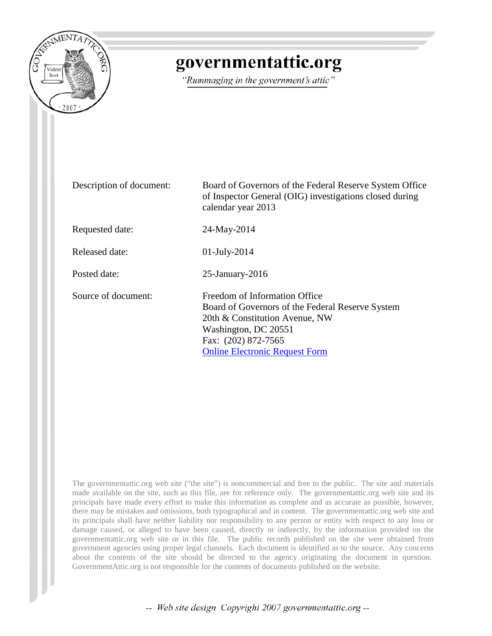

## governmentattic.org

"Rummaging in the government's attic"

| Description of document: | Board of Governors of the Federal Reserve System Office<br>of Inspector General (OIG) investigations closed during<br>calendar year 2013                                                                    |  |
|--------------------------|-------------------------------------------------------------------------------------------------------------------------------------------------------------------------------------------------------------|--|
| Requested date:          | 24-May-2014                                                                                                                                                                                                 |  |
| Released date:           | $01$ -July-2014                                                                                                                                                                                             |  |
| Posted date:             | $25$ -January- $2016$                                                                                                                                                                                       |  |
| Source of document:      | Freedom of Information Office<br>Board of Governors of the Federal Reserve System<br>20th & Constitution Avenue, NW<br>Washington, DC 20551<br>Fax: (202) 872-7565<br><b>Online Electronic Request Form</b> |  |

The governmentattic.org web site ("the site") is noncommercial and free to the public. The site and materials made available on the site, such as this file, are for reference only. The governmentattic.org web site and its principals have made every effort to make this information as complete and as accurate as possible, however, there may be mistakes and omissions, both typographical and in content. The governmentattic.org web site and its principals shall have neither liability nor responsibility to any person or entity with respect to any loss or damage caused, or alleged to have been caused, directly or indirectly, by the information provided on the governmentattic.org web site or in this file. The public records published on the site were obtained from government agencies using proper legal channels. Each document is identified as to the source. Any concerns about the contents of the site should be directed to the agency originating the document in question. GovernmentAttic.org is not responsible for the contents of documents published on the website.

-- Web site design Copyright 2007 governmentattic.org --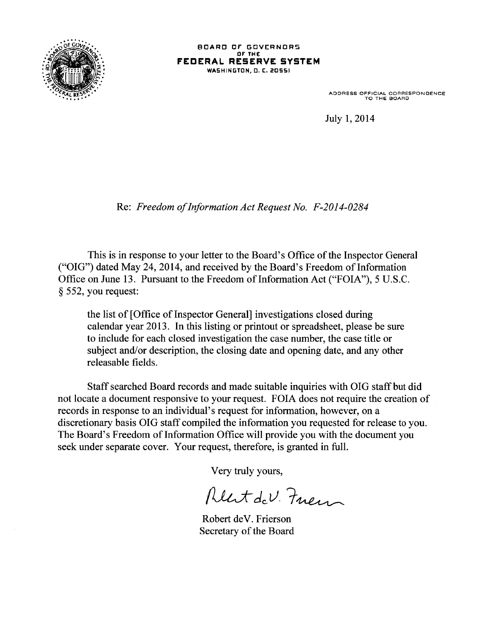

## BOARD OF GOVERNORS OF THE **FEDERAL RESERVE SYSTEM**  WASHINGTON, O. C:. 20551

ADDRESS OFFICIAL CORRESPONDENCE TO THE BOARD

July 1, 2014

Re: *Freedom of Information Act Request No. F-2014-0284* 

This is in response to your letter to the Board's Office of the Inspector General ("OIG") dated May 24, 2014, and received by the Board's Freedom of Information Office on June 13. Pursuant to the Freedom of Information Act ("FOIA"), 5 U.S.C. § 552, you request:

the list of [Office of Inspector General] investigations closed during calendar year 2013. In this listing or printout or spreadsheet, please be sure to include for each closed investigation the case number, the case title or subject and/or description, the closing date and opening date, and any other releasable fields.

Staff searched Board records and made suitable inquiries with OIG staff but did not locate a document responsive to your request. FOIA does not require the creation of records in response to an individual's request for information, however, on a discretionary basis OIG staff compiled the information you requested for release to you. The Board's Freedom of Information Office will provide you with the document you seek under separate cover. Your request, therefore, is granted in full.

Very truly yours,

Rent de V. Fuen

Robert deV. Frierson Secretary of the Board